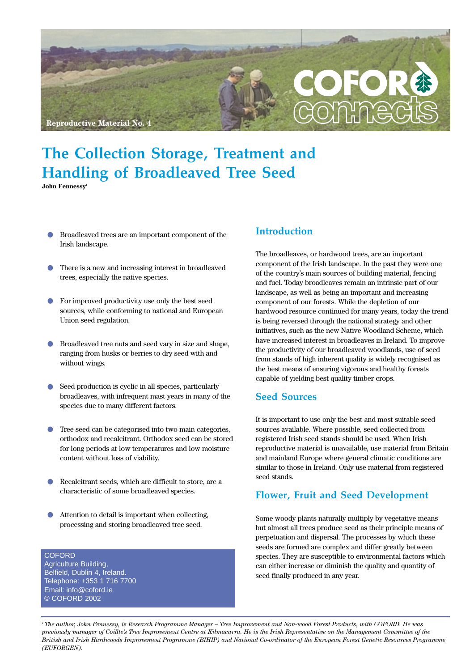

# **The Collection Storage, Treatment and Handling of Broadleaved Tree Seed**

**John Fennessy1**

- **•** Broadleaved trees are an important component of the Irish landscape.
- **•** There is a new and increasing interest in broadleaved trees, especially the native species.
- **•** For improved productivity use only the best seed sources, while conforming to national and European Union seed regulation.
- **•** Broadleaved tree nuts and seed vary in size and shape, ranging from husks or berries to dry seed with and without wings.
- **•** Seed production is cyclic in all species, particularly broadleaves, with infrequent mast years in many of the species due to many different factors.
- **•** Tree seed can be categorised into two main categories, orthodox and recalcitrant. Orthodox seed can be stored for long periods at low temperatures and low moisture content without loss of viability.
- **•** Recalcitrant seeds, which are difficult to store, are a characteristic of some broadleaved species.
- **•** Attention to detail is important when collecting, processing and storing broadleaved tree seed.

**COFORD** Agriculture Building, Belfield, Dublin 4, Ireland. Telephone: +353 1 716 7700 Email: info@coford.ie © COFORD 2002

#### **Introduction**

The broadleaves, or hardwood trees, are an important component of the Irish landscape. In the past they were one of the country's main sources of building material, fencing and fuel. Today broadleaves remain an intrinsic part of our landscape, as well as being an important and increasing component of our forests. While the depletion of our hardwood resource continued for many years, today the trend is being reversed through the national strategy and other initiatives, such as the new Native Woodland Scheme, which have increased interest in broadleaves in Ireland. To improve the productivity of our broadleaved woodlands, use of seed from stands of high inherent quality is widely recognised as the best means of ensuring vigorous and healthy forests capable of yielding best quality timber crops.

#### **Seed Sources**

It is important to use only the best and most suitable seed sources available. Where possible, seed collected from registered Irish seed stands should be used. When Irish reproductive material is unavailable, use material from Britain and mainland Europe where general climatic conditions are similar to those in Ireland. Only use material from registered seed stands.

#### **Flower, Fruit and Seed Development**

Some woody plants naturally multiply by vegetative means but almost all trees produce seed as their principle means of perpetuation and dispersal. The processes by which these seeds are formed are complex and differ greatly between species. They are susceptible to environmental factors which can either increase or diminish the quality and quantity of seed finally produced in any year.

*1 The author, John Fennessy, is Research Programme Manager – Tree Improvement and Non-wood Forest Products, with COFORD. He was previously manager of Coillte's Tree Improvement Centre at Kilmacurra. He is the Irish Representative on the Management Committee of the British and Irish Hardwoods Improvement Programme (BIHIP) and National Co-ordinator of the European Forest Genetic Resources Programme (EUFORGEN).*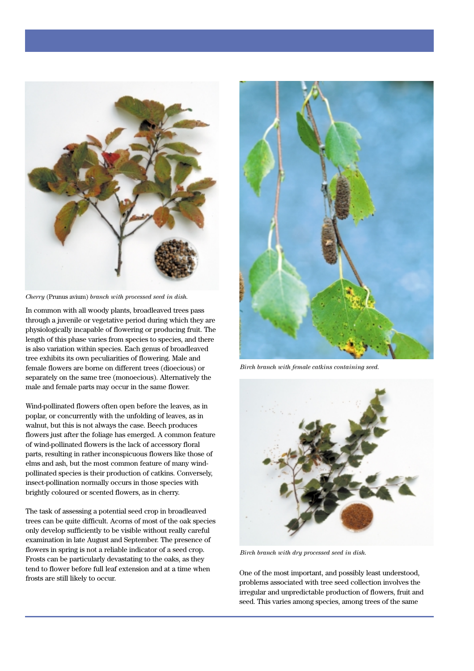

*Cherry* (Prunus avium) *branch with processed seed in dish.*

In common with all woody plants, broadleaved trees pass through a juvenile or vegetative period during which they are physiologically incapable of flowering or producing fruit. The length of this phase varies from species to species, and there is also variation within species. Each genus of broadleaved tree exhibits its own peculiarities of flowering. Male and female flowers are borne on different trees (dioecious) or separately on the same tree (monoecious). Alternatively the male and female parts may occur in the same flower.

Wind-pollinated flowers often open before the leaves, as in poplar, or concurrently with the unfolding of leaves, as in walnut, but this is not always the case. Beech produces flowers just after the foliage has emerged. A common feature of wind-pollinated flowers is the lack of accessory floral parts, resulting in rather inconspicuous flowers like those of elms and ash, but the most common feature of many windpollinated species is their production of catkins. Conversely, insect-pollination normally occurs in those species with brightly coloured or scented flowers, as in cherry.

The task of assessing a potential seed crop in broadleaved trees can be quite difficult. Acorns of most of the oak species only develop sufficiently to be visible without really careful examination in late August and September. The presence of flowers in spring is not a reliable indicator of a seed crop. Frosts can be particularly devastating to the oaks, as they tend to flower before full leaf extension and at a time when frosts are still likely to occur.<br>
frosts are still likely to occur.



*Birch branch with female catkins containing seed.*



*Birch branch with dry processed seed in dish.*

problems associated with tree seed collection involves the irregular and unpredictable production of flowers, fruit and seed. This varies among species, among trees of the same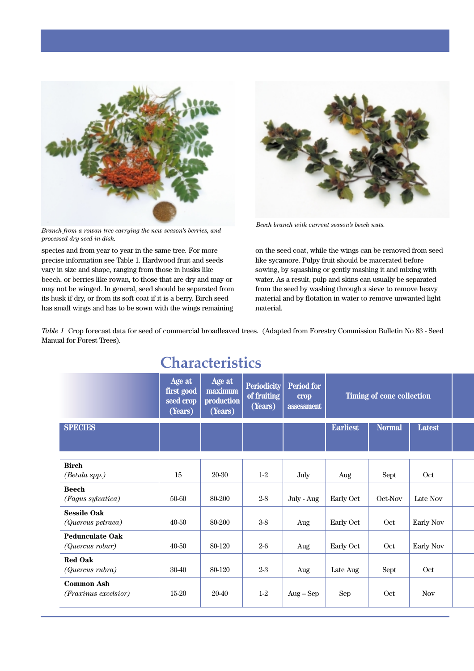

*Branch from a rowan tree carrying the new season's berries, and processed dry seed in dish.*

species and from year to year in the same tree. For more precise information see Table 1. Hardwood fruit and seeds vary in size and shape, ranging from those in husks like beech, or berries like rowan, to those that are dry and may or may not be winged. In general, seed should be separated from its husk if dry, or from its soft coat if it is a berry. Birch seed has small wings and has to be sown with the wings remaining



*Beech branch with current season's beech nuts.*

on the seed coat, while the wings can be removed from seed like sycamore. Pulpy fruit should be macerated before sowing, by squashing or gently mashing it and mixing with water. As a result, pulp and skins can usually be separated from the seed by washing through a sieve to remove heavy material and by flotation in water to remove unwanted light material.

*Table 1* Crop forecast data for seed of commercial broadleaved trees. (Adapted from Forestry Commission Bulletin No 83 - Seed Manual for Forest Trees).

| CHARACTERILO                              |                                              |                                            |                                              |                                                |                           |               |                  |  |  |
|-------------------------------------------|----------------------------------------------|--------------------------------------------|----------------------------------------------|------------------------------------------------|---------------------------|---------------|------------------|--|--|
|                                           | Age at<br>first good<br>seed crop<br>(Years) | Age at<br>maximum<br>production<br>(Years) | <b>Periodicity</b><br>of fruiting<br>(Years) | <b>Period for</b><br><b>crop</b><br>assessment | Timing of cone collection |               |                  |  |  |
| <b>SPECIES</b>                            |                                              |                                            |                                              |                                                | <b>Earliest</b>           | <b>Normal</b> | Latest           |  |  |
| <b>Birch</b><br>(Betula spp.)             | 15                                           | 20-30                                      | $1-2$                                        | July                                           | Aug                       | Sept          | Oct              |  |  |
| <b>Beech</b><br>(Fagus sylvatica)         | 50-60                                        | 80-200                                     | $2-8$                                        | July - Aug                                     | Early Oct                 | Oct-Nov       | Late Nov         |  |  |
| <b>Sessile Oak</b><br>(Quercus petraea)   | 40-50                                        | 80-200                                     | $3-8\,$                                      | Aug                                            | Early Oct                 | Oct           | <b>Early Nov</b> |  |  |
| <b>Pedunculate Oak</b><br>(Quercus robur) | 40-50                                        | 80-120                                     | $2-6$                                        | Aug                                            | Early Oct                 | Oct           | Early Nov        |  |  |
| <b>Red Oak</b><br>(Quercus rubra)         | 30-40                                        | 80-120                                     | $2-3$                                        | Aug                                            | Late Aug                  | Sept          | Oct              |  |  |
| <b>Common Ash</b><br>(Fraxinus excelsior) | 15-20                                        | 20-40                                      | $1-2$                                        | $Aug - Sep$                                    | Sep                       | Oct           | <b>Nov</b>       |  |  |

# **Characteristics**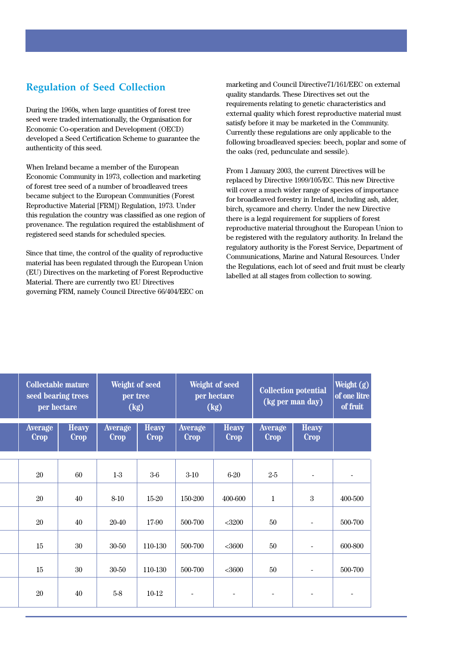### **Regulation of Seed Collection**

During the 1960s, when large quantities of forest tree seed were traded internationally, the Organisation for Economic Co-operation and Development (OECD) developed a Seed Certification Scheme to guarantee the authenticity of this seed.

When Ireland became a member of the European Economic Community in 1973, collection and marketing of forest tree seed of a number of broadleaved trees became subject to the European Communities (Forest Reproductive Material [FRM]) Regulation, 1973. Under this regulation the country was classified as one region of provenance. The regulation required the establishment of registered seed stands for scheduled species.

Since that time, the control of the quality of reproductive material has been regulated through the European Union (EU) Directives on the marketing of Forest Reproductive Material. There are currently two EU Directives governing FRM, namely Council Directive 66/404/EEC on marketing and Council Directive71/161/EEC on external quality standards. These Directives set out the requirements relating to genetic characteristics and external quality which forest reproductive material must satisfy before it may be marketed in the Community. Currently these regulations are only applicable to the following broadleaved species: beech, poplar and some of the oaks (red, pedunculate and sessile).

From 1 January 2003, the current Directives will be replaced by Directive 1999/105/EC. This new Directive will cover a much wider range of species of importance for broadleaved forestry in Ireland, including ash, alder, birch, sycamore and cherry. Under the new Directive there is a legal requirement for suppliers of forest reproductive material throughout the European Union to be registered with the regulatory authority. In Ireland the regulatory authority is the Forest Service, Department of Communications, Marine and Natural Resources. Under the Regulations, each lot of seed and fruit must be clearly labelled at all stages from collection to sowing.

| <b>Collectable mature</b><br>seed bearing trees<br>per hectare |                             | Weight of seed<br>per tree<br>(kg) |                             | Weight of seed<br>per hectare<br>(kg) |                             | <b>Collection potential</b><br>(kg per man day) |                              | Weight (g)<br>of one litre<br>of fruit |
|----------------------------------------------------------------|-----------------------------|------------------------------------|-----------------------------|---------------------------------------|-----------------------------|-------------------------------------------------|------------------------------|----------------------------------------|
| Average<br><b>Crop</b>                                         | <b>Heavy</b><br><b>Crop</b> | Average<br><b>Crop</b>             | <b>Heavy</b><br><b>Crop</b> | Average<br><b>Crop</b>                | <b>Heavy</b><br><b>Crop</b> | Average<br><b>Crop</b>                          | <b>Heavy</b><br><b>Crop</b>  |                                        |
| 20                                                             | 60                          | $1-3$                              | $3-6$                       | $3-10$                                | $6 - 20$                    | $2-5$                                           |                              |                                        |
| 20                                                             | 40                          | $8 - 10$                           | 15-20                       | 150-200                               | 400-600                     | $\mathbf{1}$                                    | $\boldsymbol{3}$             | 400-500                                |
| 20                                                             | 40                          | 20-40                              | 17-90                       | 500-700                               | $<$ 3200                    | 50                                              |                              | 500-700                                |
| 15                                                             | 30                          | 30-50                              | 110-130                     | 500-700                               | <3600                       | 50                                              | $\blacksquare$               | 600-800                                |
| 15                                                             | 30                          | 30-50                              | 110-130                     | 500-700                               | $<$ 3600                    | 50                                              | $\qquad \qquad \blacksquare$ | 500-700                                |
| 20                                                             | 40                          | $5-8$                              | $10-12$                     | $\overline{\phantom{a}}$              | $\overline{\phantom{a}}$    | $\overline{\phantom{a}}$                        | $\overline{\phantom{a}}$     | $\overline{\phantom{a}}$               |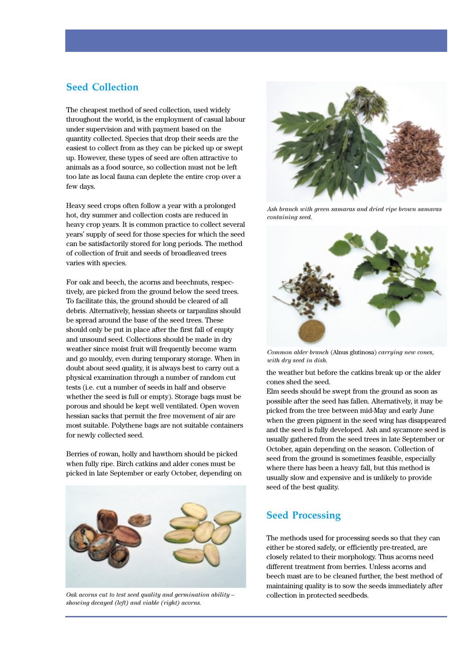#### **Seed Collection**

The cheapest method of seed collection, used widely throughout the world, is the employment of casual labour under supervision and with payment based on the quantity collected. Species that drop their seeds are the easiest to collect from as they can be picked up or swept up. However, these types of seed are often attractive to animals as a food source, so collection must not be left too late as local fauna can deplete the entire crop over a few days.

Heavy seed crops often follow a year with a prolonged hot, dry summer and collection costs are reduced in heavy crop years. It is common practice to collect several years' supply of seed for those species for which the seed can be satisfactorily stored for long periods. The method of collection of fruit and seeds of broadleaved trees varies with species.

For oak and beech, the acorns and beechnuts, respectively, are picked from the ground below the seed trees. To facilitate this, the ground should be cleared of all debris. Alternatively, hessian sheets or tarpaulins should be spread around the base of the seed trees. These should only be put in place after the first fall of empty and unsound seed. Collections should be made in dry weather since moist fruit will frequently become warm and go mouldy, even during temporary storage. When in doubt about seed quality, it is always best to carry out a physical examination through a number of random cut tests (i.e. cut a number of seeds in half and observe whether the seed is full or empty). Storage bags must be porous and should be kept well ventilated. Open woven hessian sacks that permit the free movement of air are most suitable. Polythene bags are not suitable containers for newly collected seed.

Berries of rowan, holly and hawthorn should be picked when fully ripe. Birch catkins and alder cones must be picked in late September or early October, depending on



*Oak acorns cut to test seed quality and germination ability – showing decayed (left) and viable (right) acorns.*



*Ash branch with green samaras and dried ripe brown samaras containing seed.*



*Common alder branch* (Alnus glutinosa) *carrying new cones, with dry seed in dish.*

the weather but before the catkins break up or the alder cones shed the seed.

Elm seeds should be swept from the ground as soon as possible after the seed has fallen. Alternatively, it may be picked from the tree between mid-May and early June when the green pigment in the seed wing has disappeared and the seed is fully developed. Ash and sycamore seed is usually gathered from the seed trees in late September or October, again depending on the season. Collection of seed from the ground is sometimes feasible, especially where there has been a heavy fall, but this method is usually slow and expensive and is unlikely to provide seed of the best quality.

## **Seed Processing**

The methods used for processing seeds so that they can either be stored safely, or efficiently pre-treated, are closely related to their morphology. Thus acorns need different treatment from berries. Unless acorns and beech mast are to be cleaned further, the best method of maintaining quality is to sow the seeds immediately after collection in protected seedbeds.